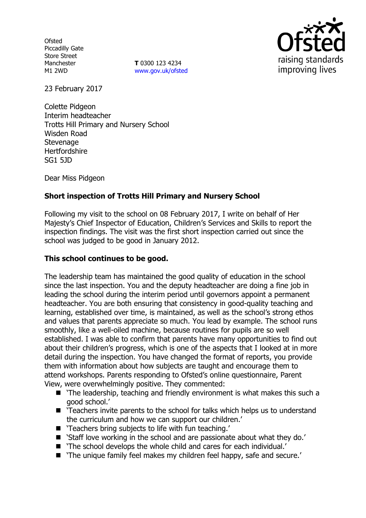**Ofsted** Piccadilly Gate Store Street Manchester M1 2WD

**T** 0300 123 4234 www.gov.uk/ofsted



23 February 2017

Colette Pidgeon Interim headteacher Trotts Hill Primary and Nursery School Wisden Road **Stevenage Hertfordshire** SG1 5JD

Dear Miss Pidgeon

### **Short inspection of Trotts Hill Primary and Nursery School**

Following my visit to the school on 08 February 2017, I write on behalf of Her Majesty's Chief Inspector of Education, Children's Services and Skills to report the inspection findings. The visit was the first short inspection carried out since the school was judged to be good in January 2012.

#### **This school continues to be good.**

The leadership team has maintained the good quality of education in the school since the last inspection. You and the deputy headteacher are doing a fine job in leading the school during the interim period until governors appoint a permanent headteacher. You are both ensuring that consistency in good-quality teaching and learning, established over time, is maintained, as well as the school's strong ethos and values that parents appreciate so much. You lead by example. The school runs smoothly, like a well-oiled machine, because routines for pupils are so well established. I was able to confirm that parents have many opportunities to find out about their children's progress, which is one of the aspects that I looked at in more detail during the inspection. You have changed the format of reports, you provide them with information about how subjects are taught and encourage them to attend workshops. Parents responding to Ofsted's online questionnaire, Parent View, were overwhelmingly positive. They commented:

- $\blacksquare$  'The leadership, teaching and friendly environment is what makes this such a good school.'
- 'Teachers invite parents to the school for talks which helps us to understand the curriculum and how we can support our children.'
- 'Teachers bring subjects to life with fun teaching.'
- 'Staff love working in the school and are passionate about what they do.'
- 'The school develops the whole child and cares for each individual.'
- 'The unique family feel makes my children feel happy, safe and secure.'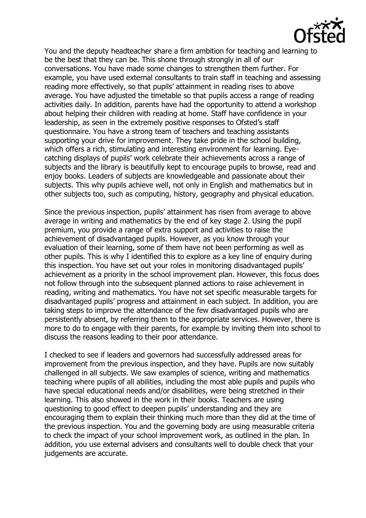

You and the deputy headteacher share a firm ambition for teaching and learning to be the best that they can be. This shone through strongly in all of our conversations. You have made some changes to strengthen them further. For example, you have used external consultants to train staff in teaching and assessing reading more effectively, so that pupils' attainment in reading rises to above average. You have adjusted the timetable so that pupils access a range of reading activities daily. In addition, parents have had the opportunity to attend a workshop about helping their children with reading at home. Staff have confidence in your leadership, as seen in the extremely positive responses to Ofsted's staff questionnaire. You have a strong team of teachers and teaching assistants supporting your drive for improvement. They take pride in the school building, which offers a rich, stimulating and interesting environment for learning. Eyecatching displays of pupils' work celebrate their achievements across a range of subjects and the library is beautifully kept to encourage pupils to browse, read and enjoy books. Leaders of subjects are knowledgeable and passionate about their subjects. This why pupils achieve well, not only in English and mathematics but in other subjects too, such as computing, history, geography and physical education.

Since the previous inspection, pupils' attainment has risen from average to above average in writing and mathematics by the end of key stage 2. Using the pupil premium, you provide a range of extra support and activities to raise the achievement of disadvantaged pupils. However, as you know through your evaluation of their learning, some of them have not been performing as well as other pupils. This is why I identified this to explore as a key line of enquiry during this inspection. You have set out your roles in monitoring disadvantaged pupils' achievement as a priority in the school improvement plan. However, this focus does not follow through into the subsequent planned actions to raise achievement in reading, writing and mathematics. You have not set specific measurable targets for disadvantaged pupils' progress and attainment in each subject. In addition, you are taking steps to improve the attendance of the few disadvantaged pupils who are persistently absent, by referring them to the appropriate services. However, there is more to do to engage with their parents, for example by inviting them into school to discuss the reasons leading to their poor attendance.

I checked to see if leaders and governors had successfully addressed areas for improvement from the previous inspection, and they have. Pupils are now suitably challenged in all subjects. We saw examples of science, writing and mathematics teaching where pupils of all abilities, including the most able pupils and pupils who have special educational needs and/or disabilities, were being stretched in their learning. This also showed in the work in their books. Teachers are using questioning to good effect to deepen pupils' understanding and they are encouraging them to explain their thinking much more than they did at the time of the previous inspection. You and the governing body are using measurable criteria to check the impact of your school improvement work, as outlined in the plan. In addition, you use external advisers and consultants well to double check that your judgements are accurate.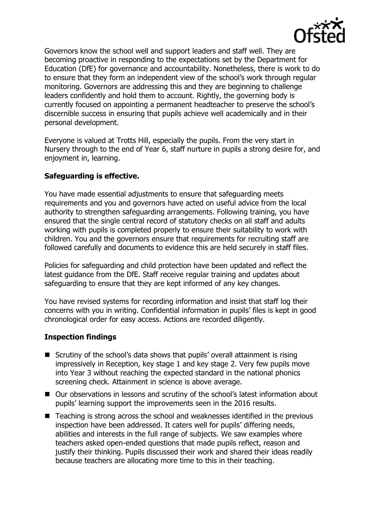

Governors know the school well and support leaders and staff well. They are becoming proactive in responding to the expectations set by the Department for Education (DfE) for governance and accountability. Nonetheless, there is work to do to ensure that they form an independent view of the school's work through regular monitoring. Governors are addressing this and they are beginning to challenge leaders confidently and hold them to account. Rightly, the governing body is currently focused on appointing a permanent headteacher to preserve the school's discernible success in ensuring that pupils achieve well academically and in their personal development.

Everyone is valued at Trotts Hill, especially the pupils. From the very start in Nursery through to the end of Year 6, staff nurture in pupils a strong desire for, and enjoyment in, learning.

#### **Safeguarding is effective.**

You have made essential adjustments to ensure that safeguarding meets requirements and you and governors have acted on useful advice from the local authority to strengthen safeguarding arrangements. Following training, you have ensured that the single central record of statutory checks on all staff and adults working with pupils is completed properly to ensure their suitability to work with children. You and the governors ensure that requirements for recruiting staff are followed carefully and documents to evidence this are held securely in staff files.

Policies for safeguarding and child protection have been updated and reflect the latest guidance from the DfE. Staff receive regular training and updates about safeguarding to ensure that they are kept informed of any key changes.

You have revised systems for recording information and insist that staff log their concerns with you in writing. Confidential information in pupils' files is kept in good chronological order for easy access. Actions are recorded diligently.

# **Inspection findings**

- Scrutiny of the school's data shows that pupils' overall attainment is rising impressively in Reception, key stage 1 and key stage 2. Very few pupils move into Year 3 without reaching the expected standard in the national phonics screening check. Attainment in science is above average.
- Our observations in lessons and scrutiny of the school's latest information about pupils' learning support the improvements seen in the 2016 results.
- Teaching is strong across the school and weaknesses identified in the previous inspection have been addressed. It caters well for pupils' differing needs, abilities and interests in the full range of subjects. We saw examples where teachers asked open-ended questions that made pupils reflect, reason and justify their thinking. Pupils discussed their work and shared their ideas readily because teachers are allocating more time to this in their teaching.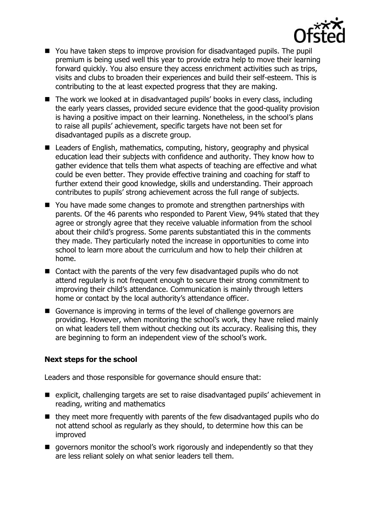

- You have taken steps to improve provision for disadvantaged pupils. The pupil premium is being used well this year to provide extra help to move their learning forward quickly. You also ensure they access enrichment activities such as trips, visits and clubs to broaden their experiences and build their self-esteem. This is contributing to the at least expected progress that they are making.
- The work we looked at in disadvantaged pupils' books in every class, including the early years classes, provided secure evidence that the good-quality provision is having a positive impact on their learning. Nonetheless, in the school's plans to raise all pupils' achievement, specific targets have not been set for disadvantaged pupils as a discrete group.
- Leaders of English, mathematics, computing, history, geography and physical education lead their subjects with confidence and authority. They know how to gather evidence that tells them what aspects of teaching are effective and what could be even better. They provide effective training and coaching for staff to further extend their good knowledge, skills and understanding. Their approach contributes to pupils' strong achievement across the full range of subjects.
- You have made some changes to promote and strengthen partnerships with parents. Of the 46 parents who responded to Parent View, 94% stated that they agree or strongly agree that they receive valuable information from the school about their child's progress. Some parents substantiated this in the comments they made. They particularly noted the increase in opportunities to come into school to learn more about the curriculum and how to help their children at home.
- Contact with the parents of the very few disadvantaged pupils who do not attend regularly is not frequent enough to secure their strong commitment to improving their child's attendance. Communication is mainly through letters home or contact by the local authority's attendance officer.
- Governance is improving in terms of the level of challenge governors are providing. However, when monitoring the school's work, they have relied mainly on what leaders tell them without checking out its accuracy. Realising this, they are beginning to form an independent view of the school's work.

# **Next steps for the school**

Leaders and those responsible for governance should ensure that:

- explicit, challenging targets are set to raise disadvantaged pupils' achievement in reading, writing and mathematics
- $\blacksquare$  they meet more frequently with parents of the few disadvantaged pupils who do not attend school as regularly as they should, to determine how this can be improved
- **E** governors monitor the school's work rigorously and independently so that they are less reliant solely on what senior leaders tell them.